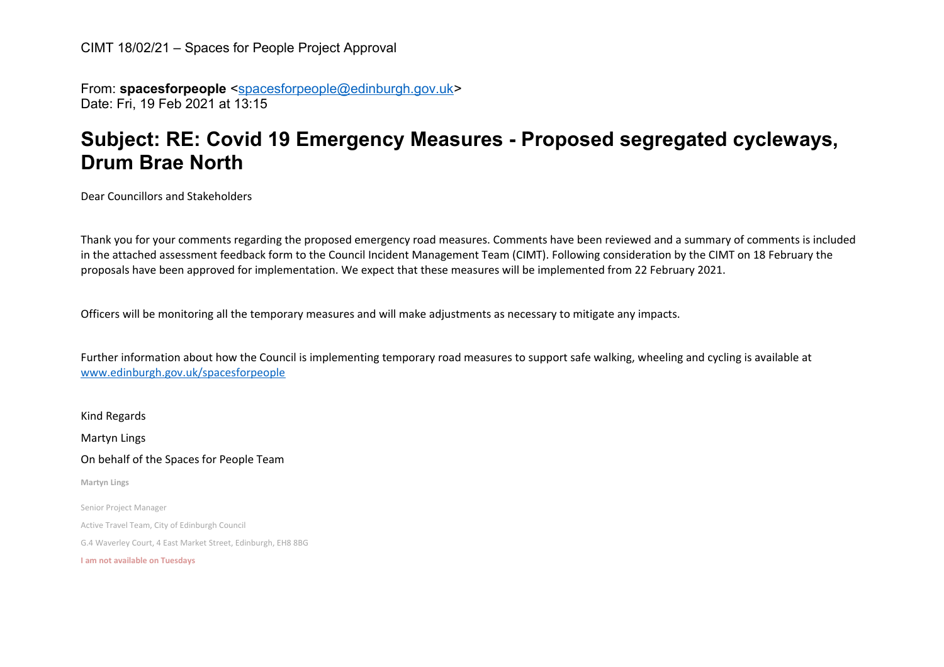From: **spacesforpeople** [<spacesforpeople@edinburgh.gov.uk>](mailto:spacesforpeople@edinburgh.gov.uk) Date: Fri, 19 Feb 2021 at 13:15

## **Subject: RE: Covid 19 Emergency Measures - Proposed segregated cycleways, Drum Brae North**

Dear Councillors and Stakeholders

Thank you for your comments regarding the proposed emergency road measures. Comments have been reviewed and a summary of comments is included in the attached assessment feedback form to the Council Incident Management Team (CIMT). Following consideration by the CIMT on 18 February the proposals have been approved for implementation. We expect that these measures will be implemented from 22 February 2021.

Officers will be monitoring all the temporary measures and will make adjustments as necessary to mitigate any impacts.

Further information about how the Council is implementing temporary road measures to support safe walking, wheeling and cycling is available at [www.edinburgh.gov.uk/spacesforpeople](http://www.edinburgh.gov.uk/spacesforpeople)

Kind Regards Martyn Lings On behalf of the Spaces for People Team **Martyn Lings** Senior Project Manager Active Travel Team, City of Edinburgh Council G.4 Waverley Court, 4 East Market Street, Edinburgh, EH8 8BG **I am not available on Tuesdays**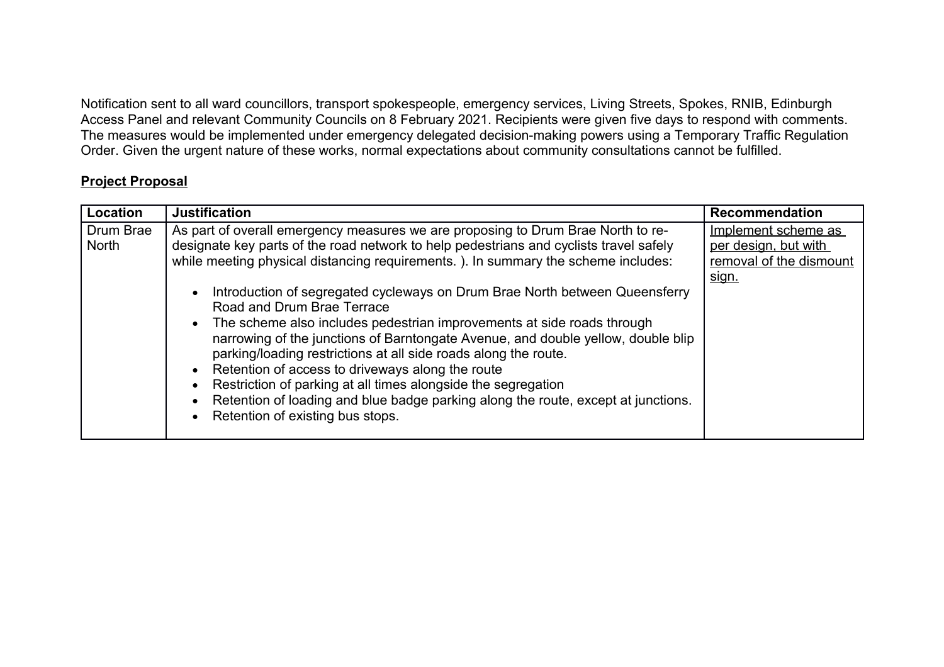Notification sent to all ward councillors, transport spokespeople, emergency services, Living Streets, Spokes, RNIB, Edinburgh Access Panel and relevant Community Councils on 8 February 2021. Recipients were given five days to respond with comments. The measures would be implemented under emergency delegated decision-making powers using a Temporary Traffic Regulation Order. Given the urgent nature of these works, normal expectations about community consultations cannot be fulfilled.

## **Project Proposal**

| Location                  | <b>Justification</b>                                                                                                                                                                                                                                                                                                                                                                                                                                                                                                                                                                                                                                                                                                                                                                                                                                        | <b>Recommendation</b>                                                           |
|---------------------------|-------------------------------------------------------------------------------------------------------------------------------------------------------------------------------------------------------------------------------------------------------------------------------------------------------------------------------------------------------------------------------------------------------------------------------------------------------------------------------------------------------------------------------------------------------------------------------------------------------------------------------------------------------------------------------------------------------------------------------------------------------------------------------------------------------------------------------------------------------------|---------------------------------------------------------------------------------|
| Drum Brae<br><b>North</b> | As part of overall emergency measures we are proposing to Drum Brae North to re-<br>designate key parts of the road network to help pedestrians and cyclists travel safely<br>while meeting physical distancing requirements.). In summary the scheme includes:<br>Introduction of segregated cycleways on Drum Brae North between Queensferry<br>Road and Drum Brae Terrace<br>The scheme also includes pedestrian improvements at side roads through<br>narrowing of the junctions of Barntongate Avenue, and double yellow, double blip<br>parking/loading restrictions at all side roads along the route.<br>Retention of access to driveways along the route<br>Restriction of parking at all times alongside the segregation<br>Retention of loading and blue badge parking along the route, except at junctions.<br>Retention of existing bus stops. | Implement scheme as<br>per design, but with<br>removal of the dismount<br>sign. |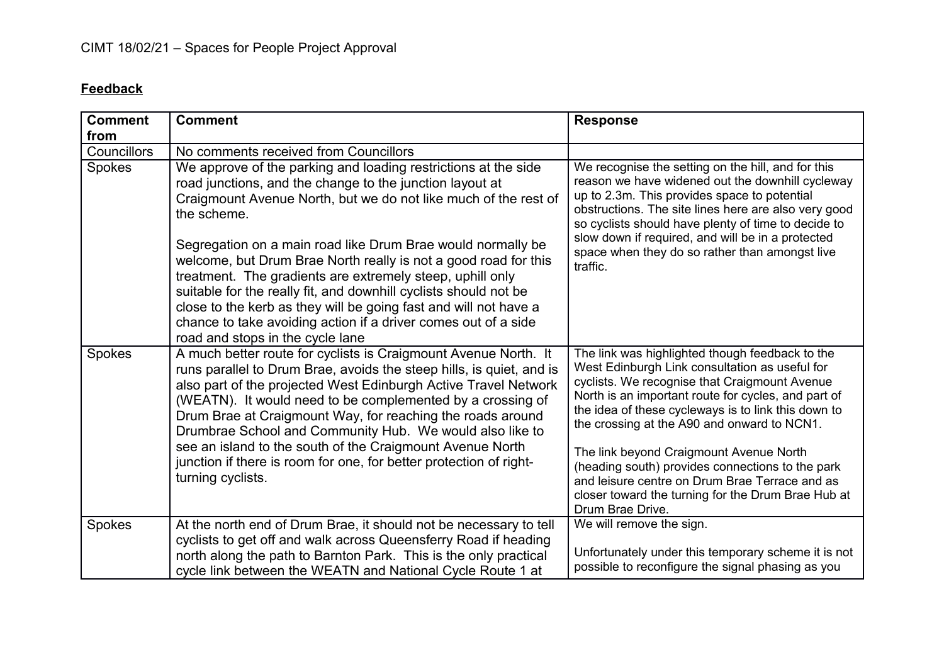## **Feedback**

| <b>Comment</b><br>from | <b>Comment</b>                                                                                                                                                                                                                                                                                                                                                                                                                                                                                                                                                                                                                                            | <b>Response</b>                                                                                                                                                                                                                                                                                                                                                                                                                                                                                                                            |
|------------------------|-----------------------------------------------------------------------------------------------------------------------------------------------------------------------------------------------------------------------------------------------------------------------------------------------------------------------------------------------------------------------------------------------------------------------------------------------------------------------------------------------------------------------------------------------------------------------------------------------------------------------------------------------------------|--------------------------------------------------------------------------------------------------------------------------------------------------------------------------------------------------------------------------------------------------------------------------------------------------------------------------------------------------------------------------------------------------------------------------------------------------------------------------------------------------------------------------------------------|
| Councillors            | No comments received from Councillors                                                                                                                                                                                                                                                                                                                                                                                                                                                                                                                                                                                                                     |                                                                                                                                                                                                                                                                                                                                                                                                                                                                                                                                            |
| Spokes                 | We approve of the parking and loading restrictions at the side<br>road junctions, and the change to the junction layout at<br>Craigmount Avenue North, but we do not like much of the rest of<br>the scheme.<br>Segregation on a main road like Drum Brae would normally be<br>welcome, but Drum Brae North really is not a good road for this<br>treatment. The gradients are extremely steep, uphill only<br>suitable for the really fit, and downhill cyclists should not be<br>close to the kerb as they will be going fast and will not have a<br>chance to take avoiding action if a driver comes out of a side<br>road and stops in the cycle lane | We recognise the setting on the hill, and for this<br>reason we have widened out the downhill cycleway<br>up to 2.3m. This provides space to potential<br>obstructions. The site lines here are also very good<br>so cyclists should have plenty of time to decide to<br>slow down if required, and will be in a protected<br>space when they do so rather than amongst live<br>traffic.                                                                                                                                                   |
| Spokes                 | A much better route for cyclists is Craigmount Avenue North. It<br>runs parallel to Drum Brae, avoids the steep hills, is quiet, and is<br>also part of the projected West Edinburgh Active Travel Network<br>(WEATN). It would need to be complemented by a crossing of<br>Drum Brae at Craigmount Way, for reaching the roads around<br>Drumbrae School and Community Hub. We would also like to<br>see an island to the south of the Craigmount Avenue North<br>junction if there is room for one, for better protection of right-<br>turning cyclists.                                                                                                | The link was highlighted though feedback to the<br>West Edinburgh Link consultation as useful for<br>cyclists. We recognise that Craigmount Avenue<br>North is an important route for cycles, and part of<br>the idea of these cycleways is to link this down to<br>the crossing at the A90 and onward to NCN1.<br>The link beyond Craigmount Avenue North<br>(heading south) provides connections to the park<br>and leisure centre on Drum Brae Terrace and as<br>closer toward the turning for the Drum Brae Hub at<br>Drum Brae Drive. |
| Spokes                 | At the north end of Drum Brae, it should not be necessary to tell<br>cyclists to get off and walk across Queensferry Road if heading<br>north along the path to Barnton Park. This is the only practical<br>cycle link between the WEATN and National Cycle Route 1 at                                                                                                                                                                                                                                                                                                                                                                                    | We will remove the sign.<br>Unfortunately under this temporary scheme it is not<br>possible to reconfigure the signal phasing as you                                                                                                                                                                                                                                                                                                                                                                                                       |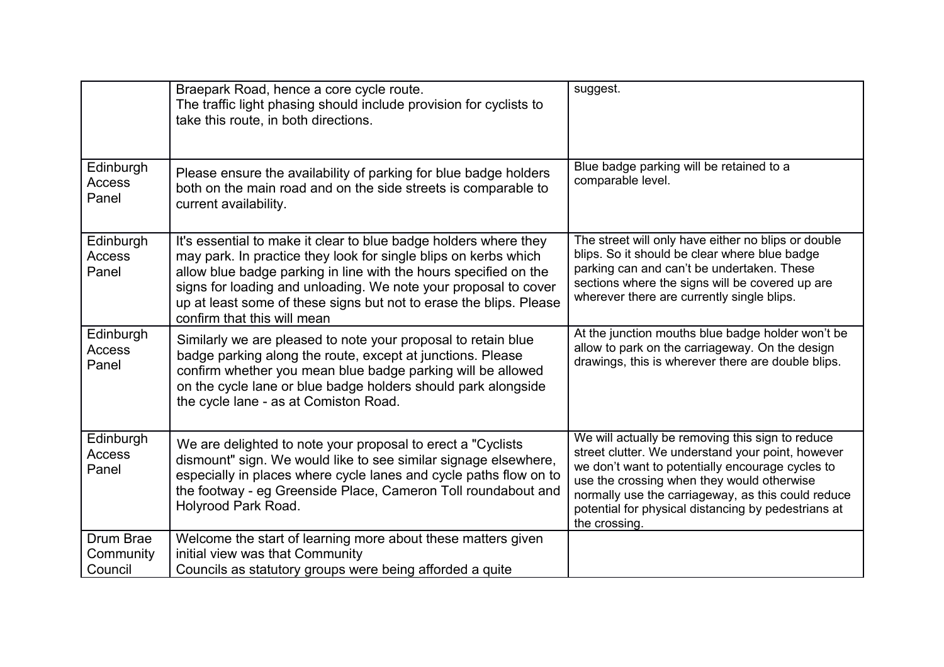|                                     | Braepark Road, hence a core cycle route.<br>The traffic light phasing should include provision for cyclists to<br>take this route, in both directions.                                                                                                                                                                                                                          | suggest.                                                                                                                                                                                                                                                                                                                              |
|-------------------------------------|---------------------------------------------------------------------------------------------------------------------------------------------------------------------------------------------------------------------------------------------------------------------------------------------------------------------------------------------------------------------------------|---------------------------------------------------------------------------------------------------------------------------------------------------------------------------------------------------------------------------------------------------------------------------------------------------------------------------------------|
| Edinburgh<br>Access<br>Panel        | Please ensure the availability of parking for blue badge holders<br>both on the main road and on the side streets is comparable to<br>current availability.                                                                                                                                                                                                                     | Blue badge parking will be retained to a<br>comparable level.                                                                                                                                                                                                                                                                         |
| Edinburgh<br><b>Access</b><br>Panel | It's essential to make it clear to blue badge holders where they<br>may park. In practice they look for single blips on kerbs which<br>allow blue badge parking in line with the hours specified on the<br>signs for loading and unloading. We note your proposal to cover<br>up at least some of these signs but not to erase the blips. Please<br>confirm that this will mean | The street will only have either no blips or double<br>blips. So it should be clear where blue badge<br>parking can and can't be undertaken. These<br>sections where the signs will be covered up are<br>wherever there are currently single blips.                                                                                   |
| Edinburgh<br><b>Access</b><br>Panel | Similarly we are pleased to note your proposal to retain blue<br>badge parking along the route, except at junctions. Please<br>confirm whether you mean blue badge parking will be allowed<br>on the cycle lane or blue badge holders should park alongside<br>the cycle lane - as at Comiston Road.                                                                            | At the junction mouths blue badge holder won't be<br>allow to park on the carriageway. On the design<br>drawings, this is wherever there are double blips.                                                                                                                                                                            |
| Edinburgh<br>Access<br>Panel        | We are delighted to note your proposal to erect a "Cyclists"<br>dismount" sign. We would like to see similar signage elsewhere,<br>especially in places where cycle lanes and cycle paths flow on to<br>the footway - eg Greenside Place, Cameron Toll roundabout and<br>Holyrood Park Road.                                                                                    | We will actually be removing this sign to reduce<br>street clutter. We understand your point, however<br>we don't want to potentially encourage cycles to<br>use the crossing when they would otherwise<br>normally use the carriageway, as this could reduce<br>potential for physical distancing by pedestrians at<br>the crossing. |
| Drum Brae<br>Community<br>Council   | Welcome the start of learning more about these matters given<br>initial view was that Community<br>Councils as statutory groups were being afforded a quite                                                                                                                                                                                                                     |                                                                                                                                                                                                                                                                                                                                       |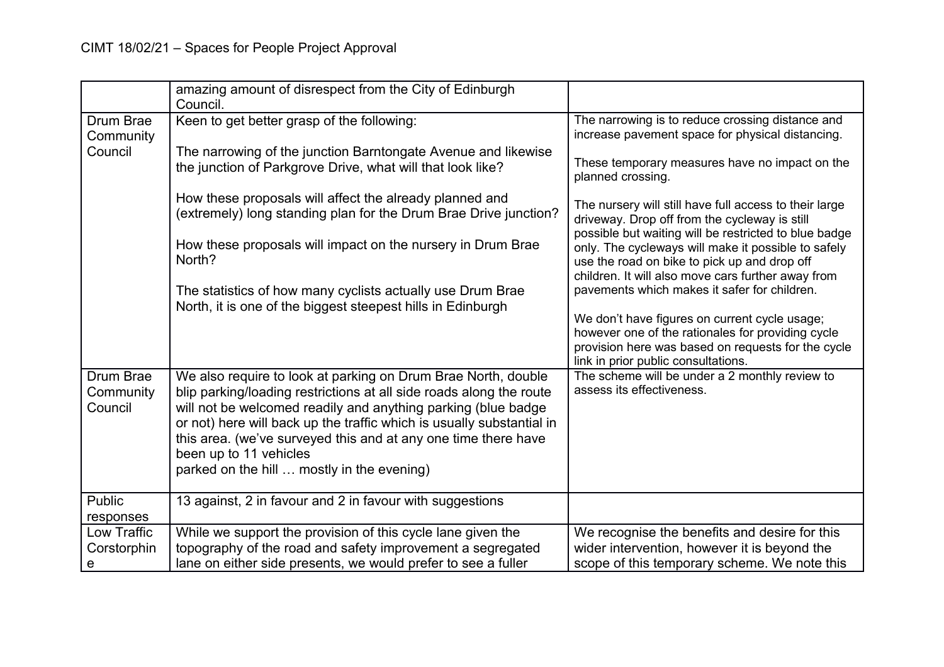|                                                                        | amazing amount of disrespect from the City of Edinburgh<br>Council.                                                                                                                                                                                                                                                                                                                                                                                                                                            |                                                                                                                                                                                                                                                                                                                                                                                                                                                                                                                                                                                                                                                                                                                          |
|------------------------------------------------------------------------|----------------------------------------------------------------------------------------------------------------------------------------------------------------------------------------------------------------------------------------------------------------------------------------------------------------------------------------------------------------------------------------------------------------------------------------------------------------------------------------------------------------|--------------------------------------------------------------------------------------------------------------------------------------------------------------------------------------------------------------------------------------------------------------------------------------------------------------------------------------------------------------------------------------------------------------------------------------------------------------------------------------------------------------------------------------------------------------------------------------------------------------------------------------------------------------------------------------------------------------------------|
| Drum Brae<br>Community<br>Council                                      | Keen to get better grasp of the following:<br>The narrowing of the junction Barntongate Avenue and likewise<br>the junction of Parkgrove Drive, what will that look like?<br>How these proposals will affect the already planned and<br>(extremely) long standing plan for the Drum Brae Drive junction?<br>How these proposals will impact on the nursery in Drum Brae<br>North?<br>The statistics of how many cyclists actually use Drum Brae<br>North, it is one of the biggest steepest hills in Edinburgh | The narrowing is to reduce crossing distance and<br>increase pavement space for physical distancing.<br>These temporary measures have no impact on the<br>planned crossing.<br>The nursery will still have full access to their large<br>driveway. Drop off from the cycleway is still<br>possible but waiting will be restricted to blue badge<br>only. The cycleways will make it possible to safely<br>use the road on bike to pick up and drop off<br>children. It will also move cars further away from<br>pavements which makes it safer for children.<br>We don't have figures on current cycle usage;<br>however one of the rationales for providing cycle<br>provision here was based on requests for the cycle |
| <b>Drum Brae</b><br>Community<br>Council<br><b>Public</b><br>responses | We also require to look at parking on Drum Brae North, double<br>blip parking/loading restrictions at all side roads along the route<br>will not be welcomed readily and anything parking (blue badge<br>or not) here will back up the traffic which is usually substantial in<br>this area. (we've surveyed this and at any one time there have<br>been up to 11 vehicles<br>parked on the hill  mostly in the evening)<br>13 against, 2 in favour and 2 in favour with suggestions                           | link in prior public consultations.<br>The scheme will be under a 2 monthly review to<br>assess its effectiveness.                                                                                                                                                                                                                                                                                                                                                                                                                                                                                                                                                                                                       |
| Low Traffic<br>Corstorphin<br>e                                        | While we support the provision of this cycle lane given the<br>topography of the road and safety improvement a segregated<br>lane on either side presents, we would prefer to see a fuller                                                                                                                                                                                                                                                                                                                     | We recognise the benefits and desire for this<br>wider intervention, however it is beyond the<br>scope of this temporary scheme. We note this                                                                                                                                                                                                                                                                                                                                                                                                                                                                                                                                                                            |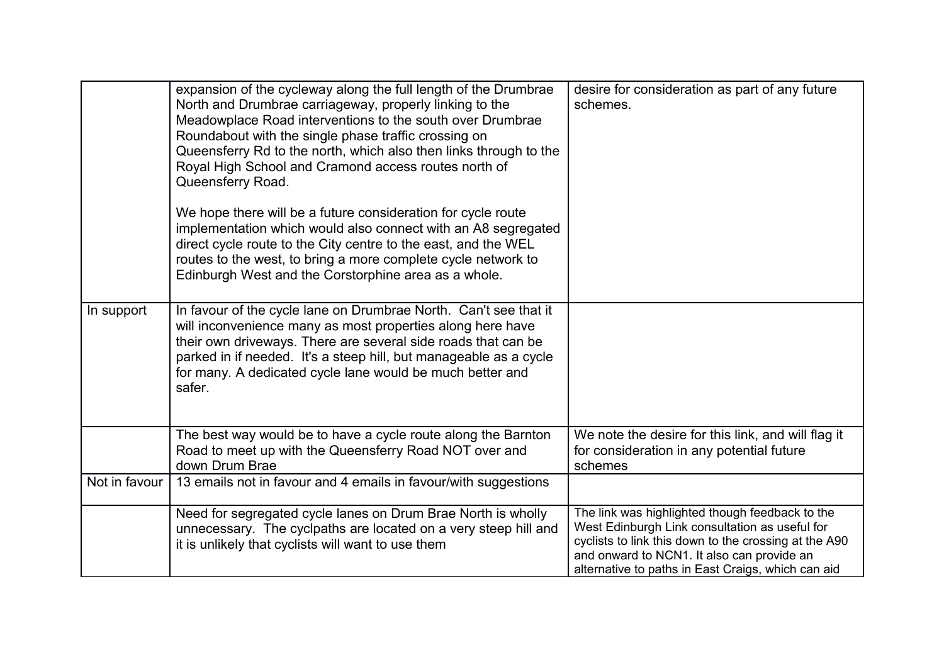|               | expansion of the cycleway along the full length of the Drumbrae<br>North and Drumbrae carriageway, properly linking to the<br>Meadowplace Road interventions to the south over Drumbrae<br>Roundabout with the single phase traffic crossing on<br>Queensferry Rd to the north, which also then links through to the<br>Royal High School and Cramond access routes north of<br>Queensferry Road. | desire for consideration as part of any future<br>schemes.                                                                                                                                                                                                     |
|---------------|---------------------------------------------------------------------------------------------------------------------------------------------------------------------------------------------------------------------------------------------------------------------------------------------------------------------------------------------------------------------------------------------------|----------------------------------------------------------------------------------------------------------------------------------------------------------------------------------------------------------------------------------------------------------------|
|               | We hope there will be a future consideration for cycle route<br>implementation which would also connect with an A8 segregated<br>direct cycle route to the City centre to the east, and the WEL<br>routes to the west, to bring a more complete cycle network to<br>Edinburgh West and the Corstorphine area as a whole.                                                                          |                                                                                                                                                                                                                                                                |
| In support    | In favour of the cycle lane on Drumbrae North. Can't see that it<br>will inconvenience many as most properties along here have<br>their own driveways. There are several side roads that can be<br>parked in if needed. It's a steep hill, but manageable as a cycle<br>for many. A dedicated cycle lane would be much better and<br>safer.                                                       |                                                                                                                                                                                                                                                                |
|               | The best way would be to have a cycle route along the Barnton<br>Road to meet up with the Queensferry Road NOT over and<br>down Drum Brae                                                                                                                                                                                                                                                         | We note the desire for this link, and will flag it<br>for consideration in any potential future<br>schemes                                                                                                                                                     |
| Not in favour | 13 emails not in favour and 4 emails in favour/with suggestions                                                                                                                                                                                                                                                                                                                                   |                                                                                                                                                                                                                                                                |
|               | Need for segregated cycle lanes on Drum Brae North is wholly<br>unnecessary. The cyclpaths are located on a very steep hill and<br>it is unlikely that cyclists will want to use them                                                                                                                                                                                                             | The link was highlighted though feedback to the<br>West Edinburgh Link consultation as useful for<br>cyclists to link this down to the crossing at the A90<br>and onward to NCN1. It also can provide an<br>alternative to paths in East Craigs, which can aid |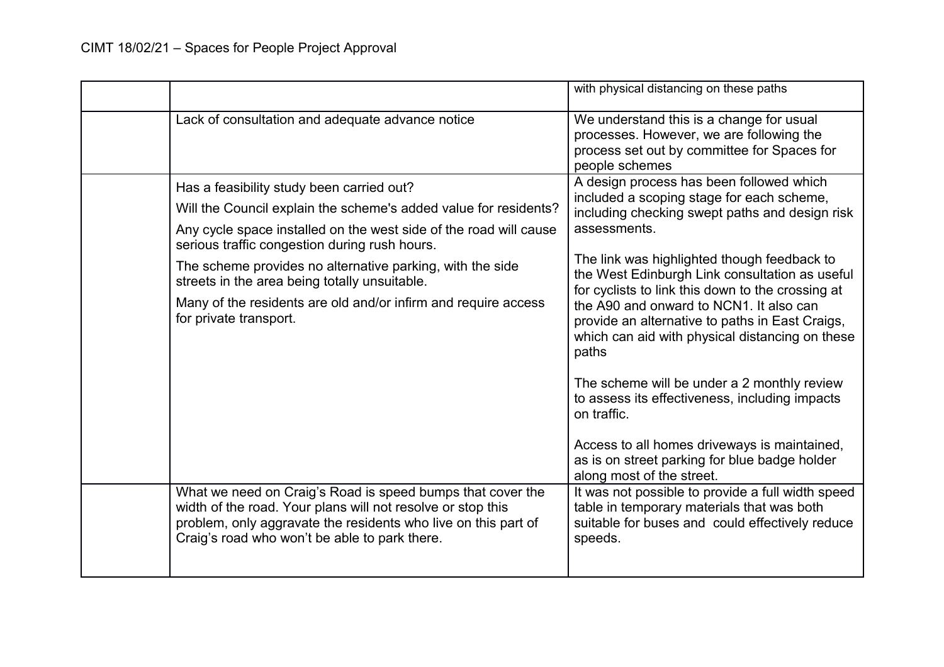|                                                                                                                                                                                                                                                                                                                                                                                                                                               | with physical distancing on these paths                                                                                                                                                                                                                                                                                                                                                                                                                                 |
|-----------------------------------------------------------------------------------------------------------------------------------------------------------------------------------------------------------------------------------------------------------------------------------------------------------------------------------------------------------------------------------------------------------------------------------------------|-------------------------------------------------------------------------------------------------------------------------------------------------------------------------------------------------------------------------------------------------------------------------------------------------------------------------------------------------------------------------------------------------------------------------------------------------------------------------|
| Lack of consultation and adequate advance notice                                                                                                                                                                                                                                                                                                                                                                                              | We understand this is a change for usual<br>processes. However, we are following the<br>process set out by committee for Spaces for<br>people schemes                                                                                                                                                                                                                                                                                                                   |
| Has a feasibility study been carried out?<br>Will the Council explain the scheme's added value for residents?<br>Any cycle space installed on the west side of the road will cause<br>serious traffic congestion during rush hours.<br>The scheme provides no alternative parking, with the side<br>streets in the area being totally unsuitable.<br>Many of the residents are old and/or infirm and require access<br>for private transport. | A design process has been followed which<br>included a scoping stage for each scheme,<br>including checking swept paths and design risk<br>assessments.<br>The link was highlighted though feedback to<br>the West Edinburgh Link consultation as useful<br>for cyclists to link this down to the crossing at<br>the A90 and onward to NCN1. It also can<br>provide an alternative to paths in East Craigs,<br>which can aid with physical distancing on these<br>paths |
| What we need on Craig's Road is speed bumps that cover the                                                                                                                                                                                                                                                                                                                                                                                    | The scheme will be under a 2 monthly review<br>to assess its effectiveness, including impacts<br>on traffic.<br>Access to all homes driveways is maintained,<br>as is on street parking for blue badge holder<br>along most of the street.<br>It was not possible to provide a full width speed                                                                                                                                                                         |
| width of the road. Your plans will not resolve or stop this<br>problem, only aggravate the residents who live on this part of<br>Craig's road who won't be able to park there.                                                                                                                                                                                                                                                                | table in temporary materials that was both<br>suitable for buses and could effectively reduce<br>speeds.                                                                                                                                                                                                                                                                                                                                                                |